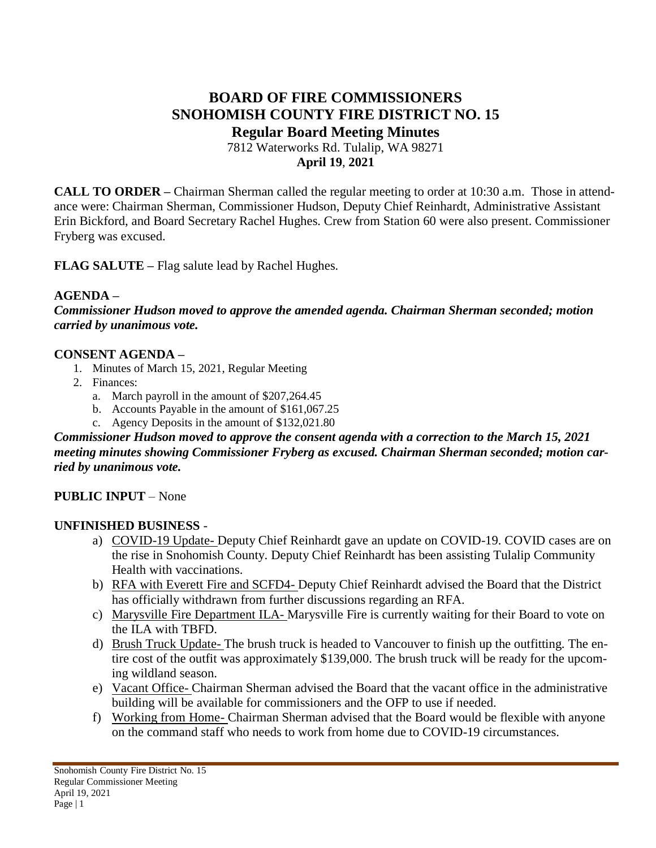# **BOARD OF FIRE COMMISSIONERS SNOHOMISH COUNTY FIRE DISTRICT NO. 15 Regular Board Meeting Minutes**

7812 Waterworks Rd. Tulalip, WA 98271 **April 19**, **2021**

**CALL TO ORDER –** Chairman Sherman called the regular meeting to order at 10:30 a.m. Those in attendance were: Chairman Sherman, Commissioner Hudson, Deputy Chief Reinhardt, Administrative Assistant Erin Bickford, and Board Secretary Rachel Hughes. Crew from Station 60 were also present. Commissioner Fryberg was excused.

**FLAG SALUTE –** Flag salute lead by Rachel Hughes.

## **AGENDA –**

*Commissioner Hudson moved to approve the amended agenda. Chairman Sherman seconded; motion carried by unanimous vote.*

### **CONSENT AGENDA –**

- 1. Minutes of March 15, 2021, Regular Meeting
- 2. Finances:
	- a. March payroll in the amount of \$207,264.45
	- b. Accounts Payable in the amount of \$161,067.25
	- c. Agency Deposits in the amount of \$132,021.80

*Commissioner Hudson moved to approve the consent agenda with a correction to the March 15, 2021 meeting minutes showing Commissioner Fryberg as excused. Chairman Sherman seconded; motion carried by unanimous vote.*

## **PUBLIC INPUT** – None

### **UNFINISHED BUSINESS** -

- a) COVID-19 Update- Deputy Chief Reinhardt gave an update on COVID-19. COVID cases are on the rise in Snohomish County. Deputy Chief Reinhardt has been assisting Tulalip Community Health with vaccinations.
- b) RFA with Everett Fire and SCFD4- Deputy Chief Reinhardt advised the Board that the District has officially withdrawn from further discussions regarding an RFA.
- c) Marysville Fire Department ILA- Marysville Fire is currently waiting for their Board to vote on the ILA with TBFD.
- d) Brush Truck Update- The brush truck is headed to Vancouver to finish up the outfitting. The entire cost of the outfit was approximately \$139,000. The brush truck will be ready for the upcoming wildland season.
- e) Vacant Office- Chairman Sherman advised the Board that the vacant office in the administrative building will be available for commissioners and the OFP to use if needed.
- f) Working from Home- Chairman Sherman advised that the Board would be flexible with anyone on the command staff who needs to work from home due to COVID-19 circumstances.